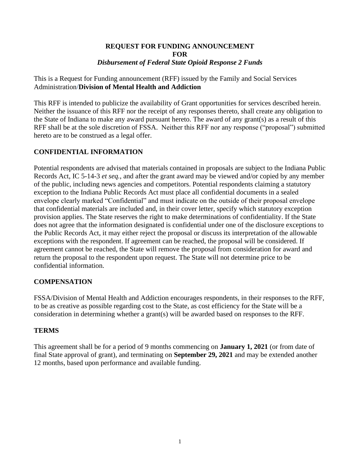#### **REQUEST FOR FUNDING ANNOUNCEMENT FOR** *Disbursement of Federal State Opioid Response 2 Funds*

This is a Request for Funding announcement (RFF) issued by the Family and Social Services Administration/**Division of Mental Health and Addiction**

This RFF is intended to publicize the availability of Grant opportunities for services described herein. Neither the issuance of this RFF nor the receipt of any responses thereto, shall create any obligation to the State of Indiana to make any award pursuant hereto. The award of any grant(s) as a result of this RFF shall be at the sole discretion of FSSA. Neither this RFF nor any response ("proposal") submitted hereto are to be construed as a legal offer.

# **CONFIDENTIAL INFORMATION**

Potential respondents are advised that materials contained in proposals are subject to the Indiana Public Records Act, IC 5-14-3 *et seq.*, and after the grant award may be viewed and/or copied by any member of the public, including news agencies and competitors. Potential respondents claiming a statutory exception to the Indiana Public Records Act must place all confidential documents in a sealed envelope clearly marked "Confidential" and must indicate on the outside of their proposal envelope that confidential materials are included and, in their cover letter, specify which statutory exception provision applies. The State reserves the right to make determinations of confidentiality. If the State does not agree that the information designated is confidential under one of the disclosure exceptions to the Public Records Act, it may either reject the proposal or discuss its interpretation of the allowable exceptions with the respondent. If agreement can be reached, the proposal will be considered. If agreement cannot be reached, the State will remove the proposal from consideration for award and return the proposal to the respondent upon request. The State will not determine price to be confidential information.

## **COMPENSATION**

FSSA/Division of Mental Health and Addiction encourages respondents, in their responses to the RFF, to be as creative as possible regarding cost to the State, as cost efficiency for the State will be a consideration in determining whether a grant(s) will be awarded based on responses to the RFF.

## **TERMS**

This agreement shall be for a period of 9 months commencing on **January 1, 2021** (or from date of final State approval of grant), and terminating on **September 29, 2021** and may be extended another 12 months, based upon performance and available funding.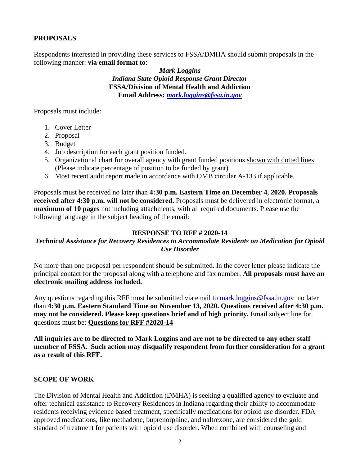## **PROPOSALS**

Respondents interested in providing these services to FSSA/DMHA should submit proposals in the following manner: **via email format to**:

> *Mark Loggins Indiana State Opioid Response Grant Director* **FSSA/Division of Mental Health and Addiction Email Address:** *[mark.loggins@fssa.in.gov](mailto:mark.loggins@fssa.in.gov)*

Proposals must include:

- 1. Cover Letter
- 2. Proposal
- 3. Budget
- 4. Job description for each grant position funded.
- 5. Organizational chart for overall agency with grant funded positions shown with dotted lines. (Please indicate percentage of position to be funded by grant)
- 6. Most recent audit report made in accordance with OMB circular A-133 if applicable.

Proposals must be received no later than **4:30 p.m. Eastern Time on December 4, 2020. Proposals received after 4:30 p.m. will not be considered.** Proposals must be delivered in electronic format, a **maximum of 10 pages** not including attachments, with all required documents. Please use the following language in the subject heading of the email:

#### **RESPONSE TO RFF # 2020-14**

## *Technical Assistance for Recovery Residences to Accommodate Residents on Medication for Opioid Use Disorder*

No more than one proposal per respondent should be submitted. In the cover letter please indicate the principal contact for the proposal along with a telephone and fax number. **All proposals must have an electronic mailing address included.**

Any questions regarding this RFF must be submitted via email to mark.  $loggins@fssa.in.gov$  no later than **4:30 p.m. Eastern Standard Time on November 13, 2020. Questions received after 4:30 p.m. may not be considered. Please keep questions brief and of high priority.** Email subject line for questions must be: **Questions for RFF #2020-14**

**All inquiries are to be directed to Mark Loggins and are not to be directed to any other staff member of FSSA. Such action may disqualify respondent from further consideration for a grant as a result of this RFF.**

#### **SCOPE OF WORK**

The Division of Mental Health and Addiction (DMHA) is seeking a qualified agency to evaluate and offer technical assistance to Recovery Residences in Indiana regarding their ability to accommodate residents receiving evidence based treatment, specifically medications for opioid use disorder. FDA approved medications, like methadone, buprenorphine, and naltrexone, are considered the gold standard of treatment for patients with opioid use disorder. When combined with counseling and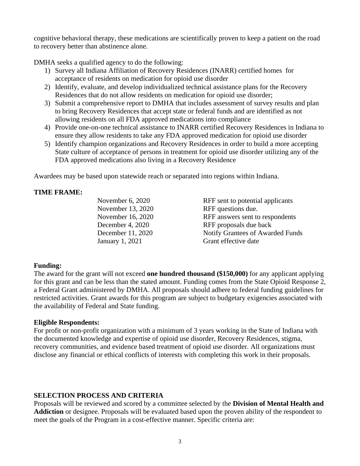cognitive behavioral therapy, these medications are scientifically proven to keep a patient on the road to recovery better than abstinence alone.

DMHA seeks a qualified agency to do the following:

- 1) Survey all Indiana Affiliation of Recovery Residences (INARR) certified homes for acceptance of residents on medication for opioid use disorder
- 2) Identify, evaluate, and develop individualized technical assistance plans for the Recovery Residences that do not allow residents on medication for opioid use disorder;
- 3) Submit a comprehensive report to DMHA that includes assessment of survey results and plan to bring Recovery Residences that accept state or federal funds and are identified as not allowing residents on all FDA approved medications into compliance
- 4) Provide one-on-one technical assistance to INARR certified Recovery Residences in Indiana to ensure they allow residents to take any FDA approved medication for opioid use disorder
- 5) Identify champion organizations and Recovery Residences in order to build a more accepting State culture of acceptance of persons in treatment for opioid use disorder utilizing any of the FDA approved medications also living in a Recovery Residence

Awardees may be based upon statewide reach or separated into regions within Indiana.

# **TIME FRAME:**

November 13, 2020 RFF questions due. January 1, 2021 Grant effective date

November 6, 2020 RFF sent to potential applicants November 16, 2020 RFF answers sent to respondents December 4, 2020 RFF proposals due back December 11, 2020 Notify Grantees of Awarded Funds

## **Funding:**

The award for the grant will not exceed **one hundred thousand (\$150,000)** for any applicant applying for this grant and can be less than the stated amount. Funding comes from the State Opioid Response 2, a Federal Grant administered by DMHA. All proposals should adhere to federal funding guidelines for restricted activities. Grant awards for this program are subject to budgetary exigencies associated with the availability of Federal and State funding.

## **Eligible Respondents:**

For profit or non-profit organization with a minimum of 3 years working in the State of Indiana with the documented knowledge and expertise of opioid use disorder, Recovery Residences, stigma, recovery communities, and evidence based treatment of opioid use disorder. All organizations must disclose any financial or ethical conflicts of interests with completing this work in their proposals.

## **SELECTION PROCESS AND CRITERIA**

Proposals will be reviewed and scored by a committee selected by the **Division of Mental Health and Addiction** or designee. Proposals will be evaluated based upon the proven ability of the respondent to meet the goals of the Program in a cost-effective manner. Specific criteria are: